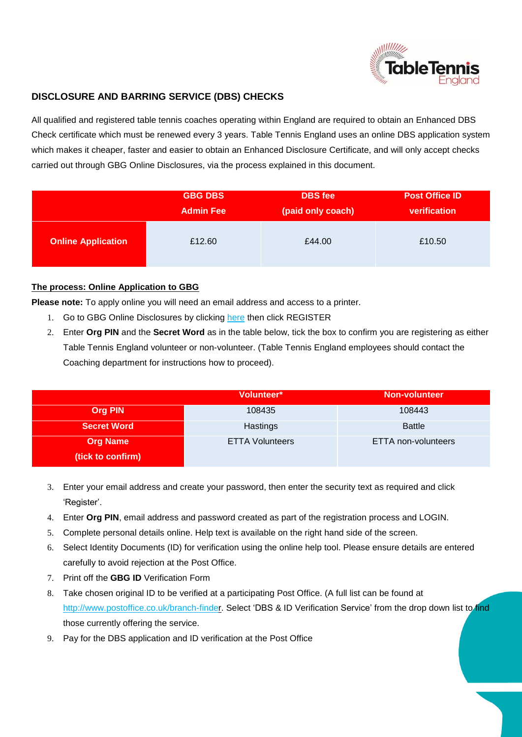

## **DISCLOSURE AND BARRING SERVICE (DBS) CHECKS**

All qualified and registered table tennis coaches operating within England are required to obtain an Enhanced DBS Check certificate which must be renewed every 3 years. Table Tennis England uses an online DBS application system which makes it cheaper, faster and easier to obtain an Enhanced Disclosure Certificate, and will only accept checks carried out through GBG Online Disclosures, via the process explained in this document.

|                           | <b>GBG DBS</b>   | <b>DBS</b> fee    | <b>Post Office ID</b> |
|---------------------------|------------------|-------------------|-----------------------|
|                           | <b>Admin Fee</b> | (paid only coach) | verification          |
| <b>Online Application</b> | £12.60           | £44.00            | £10.50                |

## **The process: Online Application to GBG**

**Please note:** To apply online you will need an email address and access to a printer.

- 1. Go to GBG Online Disclosures by clicking [here](https://gbg.onlinedisclosures.co.uk/Authentication/Login?ReturnUrl=%2f) then click REGISTER
- 2. Enter **Org PIN** and the **Secret Word** as in the table below, tick the box to confirm you are registering as either Table Tennis England volunteer or non-volunteer. (Table Tennis England employees should contact the Coaching department for instructions how to proceed).

|                    | Volunteer*             | <b>Non-volunteer</b> |
|--------------------|------------------------|----------------------|
| <b>Org PIN</b>     | 108435                 | 108443               |
| <b>Secret Word</b> | Hastings               | <b>Battle</b>        |
| <b>Org Name</b>    | <b>ETTA Volunteers</b> | ETTA non-volunteers  |
| (tick to confirm)  |                        |                      |

- 3. Enter your email address and create your password, then enter the security text as required and click 'Register'.
- 4. Enter **Org PIN**, email address and password created as part of the registration process and LOGIN.
- 5. Complete personal details online. Help text is available on the right hand side of the screen.
- 6. Select Identity Documents (ID) for verification using the online help tool. Please ensure details are entered carefully to avoid rejection at the Post Office.
- 7. Print off the **GBG ID** Verification Form
- 8. Take chosen original ID to be verified at a participating Post Office. (A full list can be found at [http://www.postoffice.co.uk/branch-finder.](http://www.postoffice.co.uk/branch-finder) Select 'DBS & ID Verification Service' from the drop down list to find those currently offering the service.
- 9. Pay for the DBS application and ID verification at the Post Office